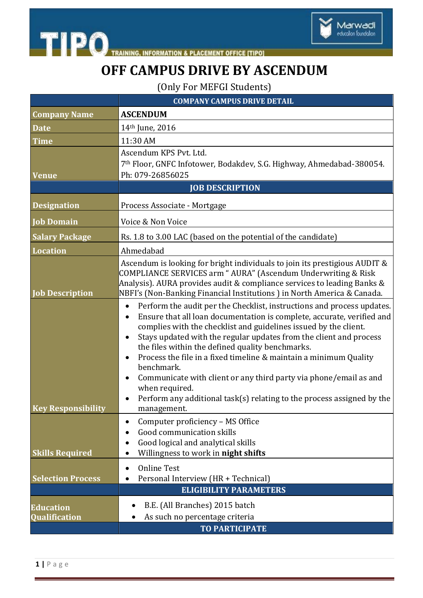

**TIPO** TRAINING **INFORMATION & PLACEMENT OFFICE [TIPO]** 

## **OFF CAMPUS DRIVE BY ASCENDUM**

(Only For MEFGI Students)

|                                   | <b>COMPANY CAMPUS DRIVE DETAIL</b>                                                                                                                                                                                                                                                                                                                                                                                                                                                                                                                                                                                             |
|-----------------------------------|--------------------------------------------------------------------------------------------------------------------------------------------------------------------------------------------------------------------------------------------------------------------------------------------------------------------------------------------------------------------------------------------------------------------------------------------------------------------------------------------------------------------------------------------------------------------------------------------------------------------------------|
| <b>Company Name</b>               | <b>ASCENDUM</b>                                                                                                                                                                                                                                                                                                                                                                                                                                                                                                                                                                                                                |
| <b>Date</b>                       | 14 <sup>th</sup> June, 2016                                                                                                                                                                                                                                                                                                                                                                                                                                                                                                                                                                                                    |
| <b>Time</b>                       | 11:30 AM                                                                                                                                                                                                                                                                                                                                                                                                                                                                                                                                                                                                                       |
| <b>Venue</b>                      | Ascendum KPS Pvt. Ltd.<br>7th Floor, GNFC Infotower, Bodakdev, S.G. Highway, Ahmedabad-380054.<br>Ph: 079-26856025                                                                                                                                                                                                                                                                                                                                                                                                                                                                                                             |
| <b>JOB DESCRIPTION</b>            |                                                                                                                                                                                                                                                                                                                                                                                                                                                                                                                                                                                                                                |
| <b>Designation</b>                | Process Associate - Mortgage                                                                                                                                                                                                                                                                                                                                                                                                                                                                                                                                                                                                   |
| <b>Job Domain</b>                 | Voice & Non Voice                                                                                                                                                                                                                                                                                                                                                                                                                                                                                                                                                                                                              |
| <b>Salary Package</b>             | Rs. 1.8 to 3.00 LAC (based on the potential of the candidate)                                                                                                                                                                                                                                                                                                                                                                                                                                                                                                                                                                  |
| <b>Location</b>                   | Ahmedabad                                                                                                                                                                                                                                                                                                                                                                                                                                                                                                                                                                                                                      |
| <b>Job Description</b>            | Ascendum is looking for bright individuals to join its prestigious AUDIT &<br>COMPLIANCE SERVICES arm "AURA" (Ascendum Underwriting & Risk<br>Analysis). AURA provides audit & compliance services to leading Banks &<br>NBFI's (Non-Banking Financial Institutions) in North America & Canada.                                                                                                                                                                                                                                                                                                                                |
| <b>Key Responsibility</b>         | Perform the audit per the Checklist, instructions and process updates.<br>$\bullet$<br>Ensure that all loan documentation is complete, accurate, verified and<br>complies with the checklist and guidelines issued by the client.<br>Stays updated with the regular updates from the client and process<br>the files within the defined quality benchmarks.<br>Process the file in a fixed timeline & maintain a minimum Quality<br>benchmark.<br>Communicate with client or any third party via phone/email as and<br>when required.<br>Perform any additional task(s) relating to the process assigned by the<br>management. |
| <b>Skills Required</b>            | Computer proficiency - MS Office<br>Good communication skills<br>Good logical and analytical skills<br>Willingness to work in night shifts                                                                                                                                                                                                                                                                                                                                                                                                                                                                                     |
| <b>Selection Process</b>          | <b>Online Test</b><br>Personal Interview (HR + Technical)<br><b>ELIGIBILITY PARAMETERS</b>                                                                                                                                                                                                                                                                                                                                                                                                                                                                                                                                     |
|                                   |                                                                                                                                                                                                                                                                                                                                                                                                                                                                                                                                                                                                                                |
| <b>Education</b><br>Qualification | B.E. (All Branches) 2015 batch<br>As such no percentage criteria                                                                                                                                                                                                                                                                                                                                                                                                                                                                                                                                                               |
|                                   | <b>TO PARTICIPATE</b>                                                                                                                                                                                                                                                                                                                                                                                                                                                                                                                                                                                                          |